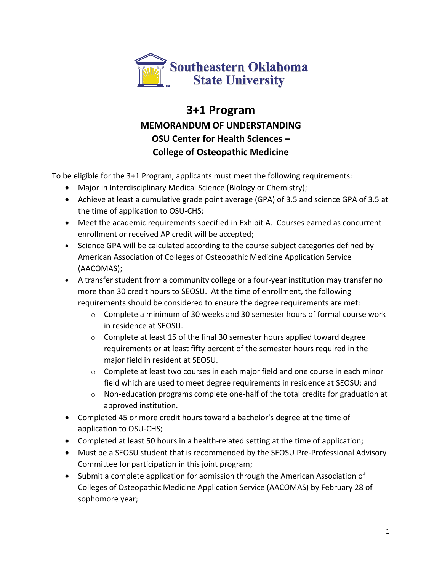

## **3+1 Program MEMORANDUM OF UNDERSTANDING OSU Center for Health Sciences – College of Osteopathic Medicine**

To be eligible for the 3+1 Program, applicants must meet the following requirements:

- Major in Interdisciplinary Medical Science (Biology or Chemistry);
- Achieve at least a cumulative grade point average (GPA) of 3.5 and science GPA of 3.5 at the time of application to OSU-CHS;
- Meet the academic requirements specified in Exhibit A. Courses earned as concurrent enrollment or received AP credit will be accepted;
- Science GPA will be calculated according to the course subject categories defined by American Association of Colleges of Osteopathic Medicine Application Service (AACOMAS);
- A transfer student from a community college or a four-year institution may transfer no more than 30 credit hours to SEOSU. At the time of enrollment, the following requirements should be considered to ensure the degree requirements are met:
	- $\circ$  Complete a minimum of 30 weeks and 30 semester hours of formal course work in residence at SEOSU.
	- $\circ$  Complete at least 15 of the final 30 semester hours applied toward degree requirements or at least fifty percent of the semester hours required in the major field in resident at SEOSU.
	- $\circ$  Complete at least two courses in each major field and one course in each minor field which are used to meet degree requirements in residence at SEOSU; and
	- o Non-education programs complete one-half of the total credits for graduation at approved institution.
- Completed 45 or more credit hours toward a bachelor's degree at the time of application to OSU-CHS;
- Completed at least 50 hours in a health-related setting at the time of application;
- Must be a SEOSU student that is recommended by the SEOSU Pre-Professional Advisory Committee for participation in this joint program;
- Submit a complete application for admission through the American Association of Colleges of Osteopathic Medicine Application Service (AACOMAS) by February 28 of sophomore year;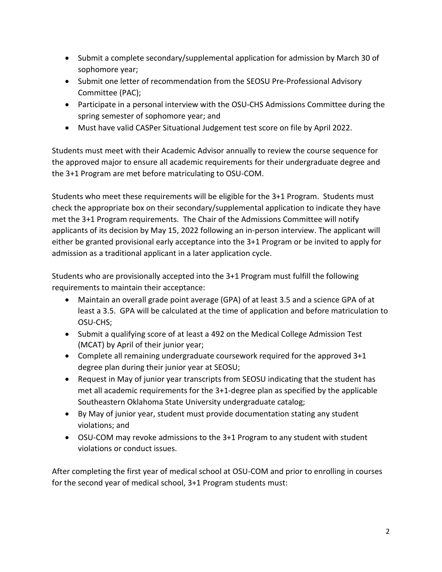- Submit a complete secondary/supplemental application for admission by March 30 of sophomore year;
- Submit one letter of recommendation from the SEOSU Pre-Professional Advisory Committee (PAC);
- Participate in a personal interview with the OSU-CHS Admissions Committee during the spring semester of sophomore year; and
- Must have valid CASPer Situational Judgement test score on file by April 2022.

Students must meet with their Academic Advisor annually to review the course sequence for the approved major to ensure all academic requirements for their undergraduate degree and the 3+1 Program are met before matriculating to OSU-COM.

Students who meet these requirements will be eligible for the 3+1 Program. Students must check the appropriate box on their secondary/supplemental application to indicate they have met the 3+1 Program requirements. The Chair of the Admissions Committee will notify applicants of its decision by May 15, 2022 following an in-person interview. The applicant will either be granted provisional early acceptance into the 3+1 Program or be invited to apply for admission as a traditional applicant in a later application cycle.

Students who are provisionally accepted into the 3+1 Program must fulfill the following requirements to maintain their acceptance:

- Maintain an overall grade point average (GPA) of at least 3.5 and a science GPA of at least a 3.5. GPA will be calculated at the time of application and before matriculation to OSU-CHS;
- Submit a qualifying score of at least a 492 on the Medical College Admission Test (MCAT) by April of their junior year;
- Complete all remaining undergraduate coursework required for the approved 3+1 degree plan during their junior year at SEOSU;
- Request in May of junior year transcripts from SEOSU indicating that the student has met all academic requirements for the 3+1-degree plan as specified by the applicable Southeastern Oklahoma State University undergraduate catalog;
- By May of junior year, student must provide documentation stating any student violations; and
- OSU-COM may revoke admissions to the 3+1 Program to any student with student violations or conduct issues.

After completing the first year of medical school at OSU-COM and prior to enrolling in courses for the second year of medical school, 3+1 Program students must: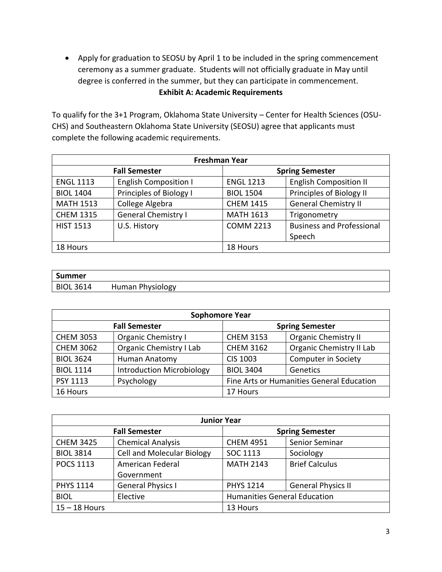• Apply for graduation to SEOSU by April 1 to be included in the spring commencement ceremony as a summer graduate. Students will not officially graduate in May until degree is conferred in the summer, but they can participate in commencement. **Exhibit A: Academic Requirements**

To qualify for the 3+1 Program, Oklahoma State University – Center for Health Sciences (OSU-CHS) and Southeastern Oklahoma State University (SEOSU) agree that applicants must complete the following academic requirements.

| <b>Freshman Year</b> |                              |                  |                                  |  |
|----------------------|------------------------------|------------------|----------------------------------|--|
| <b>Fall Semester</b> |                              |                  | <b>Spring Semester</b>           |  |
| <b>ENGL 1113</b>     | <b>English Composition I</b> | <b>ENGL 1213</b> | <b>English Composition II</b>    |  |
| <b>BIOL 1404</b>     | Principles of Biology I      | <b>BIOL 1504</b> | Principles of Biology II         |  |
| <b>MATH 1513</b>     | College Algebra              | <b>CHEM 1415</b> | <b>General Chemistry II</b>      |  |
| <b>CHEM 1315</b>     | <b>General Chemistry I</b>   | <b>MATH 1613</b> | Trigonometry                     |  |
| <b>HIST 1513</b>     | U.S. History                 | <b>COMM 2213</b> | <b>Business and Professional</b> |  |
|                      |                              |                  | Speech                           |  |
| 18 Hours             |                              | 18 Hours         |                                  |  |

| Summer           |                  |
|------------------|------------------|
| <b>BIOL 3614</b> | Human Physiology |

| <b>Sophomore Year</b> |                                  |                        |                                           |
|-----------------------|----------------------------------|------------------------|-------------------------------------------|
| <b>Fall Semester</b>  |                                  | <b>Spring Semester</b> |                                           |
| <b>CHEM 3053</b>      | <b>Organic Chemistry I</b>       | <b>CHEM 3153</b>       | <b>Organic Chemistry II</b>               |
| <b>CHEM 3062</b>      | <b>Organic Chemistry I Lab</b>   | <b>CHEM 3162</b>       | Organic Chemistry II Lab                  |
| <b>BIOL 3624</b>      | Human Anatomy                    | <b>CIS 1003</b>        | <b>Computer in Society</b>                |
| <b>BIOL 1114</b>      | <b>Introduction Microbiology</b> | <b>BIOL 3404</b>       | Genetics                                  |
| <b>PSY 1113</b>       | Psychology                       |                        | Fine Arts or Humanities General Education |
| 16 Hours              |                                  | 17 Hours               |                                           |

| <b>Junior Year</b> |                                   |                                     |                           |
|--------------------|-----------------------------------|-------------------------------------|---------------------------|
|                    | <b>Fall Semester</b>              |                                     | <b>Spring Semester</b>    |
| <b>CHEM 3425</b>   | <b>Chemical Analysis</b>          | <b>CHEM 4951</b>                    | Senior Seminar            |
| <b>BIOL 3814</b>   | <b>Cell and Molecular Biology</b> | SOC 1113                            | Sociology                 |
| <b>POCS 1113</b>   | American Federal                  | <b>MATH 2143</b>                    | <b>Brief Calculus</b>     |
|                    | Government                        |                                     |                           |
| <b>PHYS 1114</b>   | <b>General Physics I</b>          | <b>PHYS 1214</b>                    | <b>General Physics II</b> |
| <b>BIOL</b>        | Elective                          | <b>Humanities General Education</b> |                           |
| $15 - 18$ Hours    |                                   | 13 Hours                            |                           |